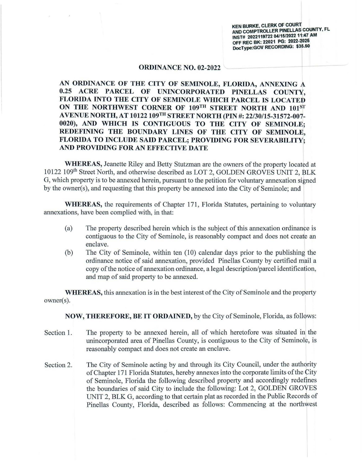**KEN BURKE, CLERK OF COURT AND COMPTROLLER PINELLAS COUNTY, FL INST# 2022119722 04/15/2022 11:47 AM OFF REC BK: 22021 PG: 2022-2025 DocType:GOV RECORDING: \$35.50** 

## **ORDINANCE NO. 02-2022**

**AN ORDINANCE OF THE CITY OF SEMINOLE, FLORIDA, ANNEXING A 0.25 ACRE PARCEL OF UNINCORPORATED PINELLAS COUNTY, FLORIDA INTO THE CITY OF SEMINOLE WHICH PARCEL IS LOCATED**  ON THE NORTHWEST CORNER OF 109<sup>TH</sup> STREET NORTH AND 101<sup>ST</sup> **AVENUE NORTH, AT 10122109TH STREET NORTH {PIN#: 22/30/15-31572-007- 0020), AND WHICH IS CONTIGUOUS TO THE CITY OF SEMINOLE; REDEFINING THE BOUNDARY LINES OF THE CITY OF SEMINOLE, FLORIDA TO INCLUDE SAID PARCEL; PROVIDING FOR SEVERABILITY; AND PROVIDING FOR AN EFFECTIVE DATE** 

**WHEREAS,** Jeanette Riley and Betty Stutzman are the owners of the property located at 10122 109<sup>th</sup> Street North, and otherwise described as LOT 2, GOLDEN GROVES UNIT 2, BLK G, which property is to be annexed herein, pursuant to the petition for voluntary annexation signed by the owner(s), and requesting that this property be annexed into the City of Seminole; and

**WHEREAS,** the requirements of Chapter 171, Florida Statutes, pertaining to voluntary annexations, have been complied with, in that:

- (a) The property described herein which is the subject of this annexation ordinance is contiguous to the City of Seminole, is reasonably compact and does not create an enclave.
- (b) The City of Seminole, within ten (10) calendar days prior to the publishing the ordinance notice of said annexation, provided Pinellas County by certified mail a copy of the notice of annexation ordinance, a legal description/parcel identification, and map of said property to be annexed.

**WHEREAS,** this annexation is in the best interest of the City of Seminole and the property owner(s).

**NOW, THEREFORE, BE IT ORDAINED,** by the City of Seminole, Florida, as follows:

- Section 1. The property to be annexed herein, all of which heretofore was situated in the unincorporated area of Pinellas County, is contiguous to the City of Seminole, is reasonably compact and does not create an enclave.
- Section 2. The City of Seminole acting by and through its City Council, under the authority of Chapter 171 Florida Statutes, hereby annexes into the corporate limits of the City of Seminole, Florida the following described property and accordingly redefines the boundaries of said City to include the following: Lot 2, GOLDEN GROVES UNIT 2, BLK G, according to that certain plat as recorded in the Public Records of Pinellas County, Florida, described as follows: Commencing at the northwest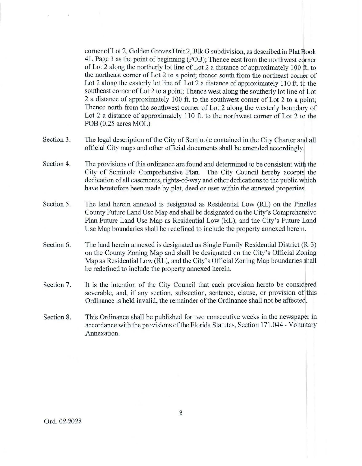corner of Lot 2, Golden Groves Unit 2, Blk G subdivision, as described in Plat Book 41, Page 3 as the point of beginning (POB); Thence east from the northwest corner of Lot 2 along the northerly lot line of Lot 2 a distance of approximately 100 ft. to the northeast comer of Lot 2 to a point; thence south from the northeast corner of Lot 2 along the easterly lot line of Lot 2 a distance of approximately 110 ft. to the southeast corner of Lot 2 to a point; Thence west along the southerly lot line of Lot 2 a distance of approximately 100 ft. to the southwest corner of Lot 2 to a point; Thence north from the southwest corner of Lot 2 along the westerly boundary of Lot 2 a distance of approximately 110 ft. to the northwest comer of Lot 2 to the POB (0.25 acres MOL)

- Section 3. The legal description of the City of Seminole contained in the City Charter and all official City maps and other official documents shall be amended accordingly.
- Section 4. The provisions of this ordinance are found and determined to be consistent with the City of Seminole Comprehensive Plan. The City Council hereby accepts the dedication of all easements, rights-of-way and other dedications to the public which have heretofore been made by plat, deed or user within the annexed properties.
- Section 5. The land herein annexed is designated as Residential Low (RL) on the Pinellas County Future Land Use Map and shall be designated on the City's Comprehensive Plan Future Land Use Map as Residential Low (RL), and the City's Future Land Use Map boundaries shall be redefined to include the property annexed herein.
- Section 6. The land herein annexed is designated as Single Family Residential District (R-3) on the County Zoning Map and shall be designated on the City's Official Zoning Map as Residential Low (RL), and the City's Official Zoning Map boundaries shall be redefined to include the property annexed herein.
- Section 7. It is the intention of the City Council that each provision hereto be considered severable, and, if any section, subsection, sentence, clause, or provision of this Ordinance is held invalid, the remainder of the Ordinance shall not be affected.
- Section 8. This Ordinance shall be published for two consecutive weeks in the newspaper in accordance with the provisions of the Florida Statutes, Section 171.044 - Voluntary Annexation.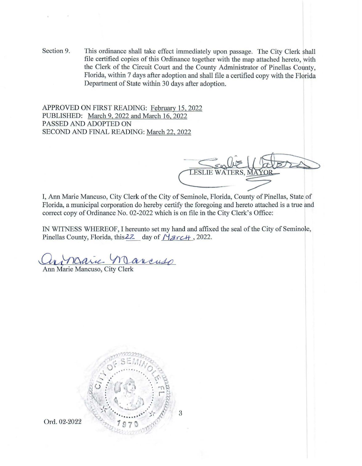Section 9. This ordinance shall take effect immediately upon passage. The City Clerk shall file certified copies of this Ordinance together with the map attached hereto, with the Clerk of the Circuit Court and the County Administrator of Pinellas County, Florida, within 7 days after adoption and shall file a certified copy with the Florida Department of State within 30 days after adoption.

APPROVED ON FIRST READING: February 15, 2022 PUBLISHED: March 9, 2022 and March 16, 2022 PASSED AND ADOPTED ON SECOND AND FINAL READING: March 22, 2022

**LESLIE WATE** 

I, Ann Marie Mancuso, City Clerk of the City of Seminole, Florida, County of Pinellas, State of Florida, a municipal corporation do hereby certify the foregoing and hereto attached is a true and correct copy of Ordinance No. 02-2022 which is on file in the City Clerk's Office:

IN WITNESS WHEREOF, I hereunto set my hand and affixed the seal of the City of Seminole, Pinellas County, Florida, this 2Z day of *March*, 2022.

Ann Marie Marie Marcuso